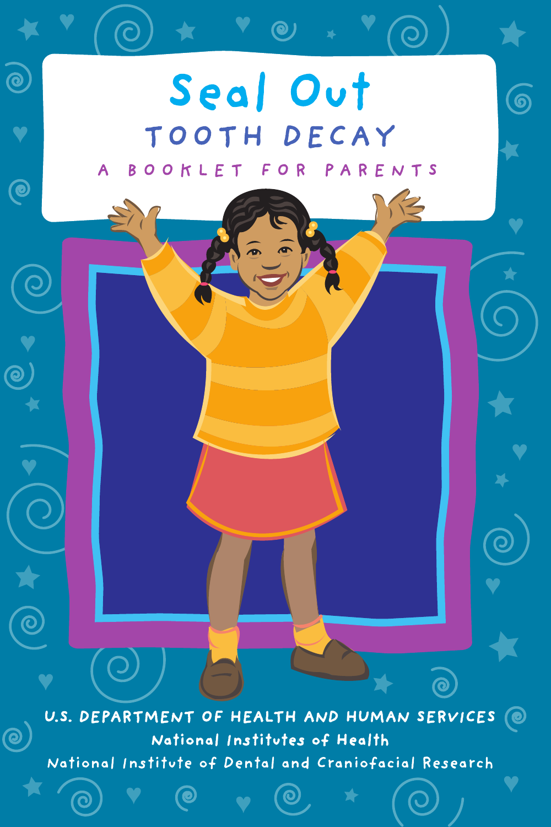

#### National Institutes of Health National Institute of Dental and Craniofacial Research

 $\bigcirc$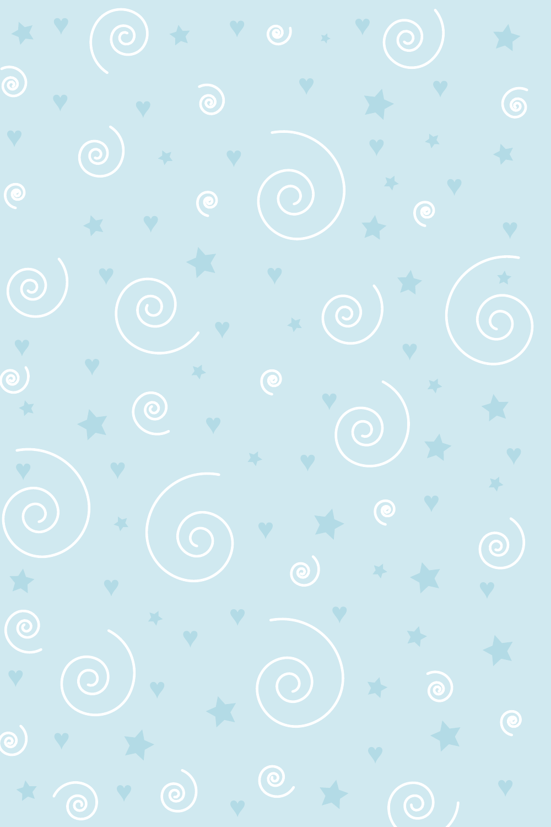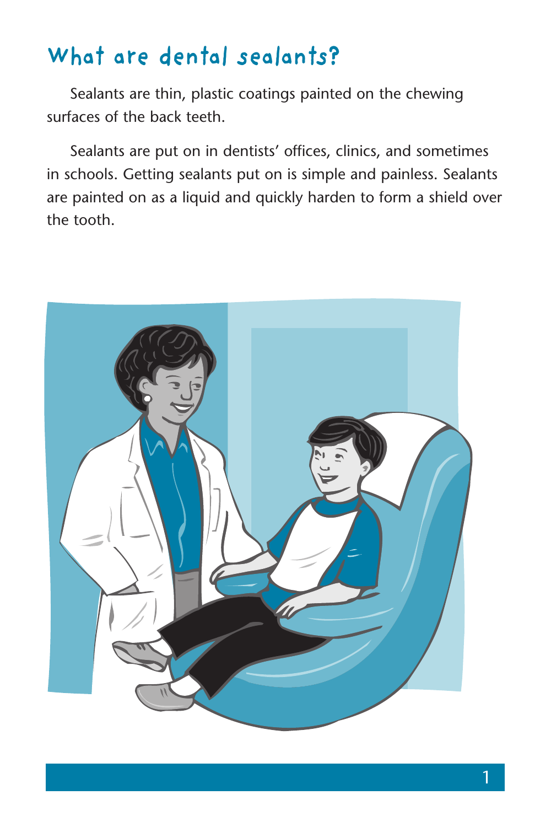#### **What are dental sealants?**

Sealants are thin, plastic coatings painted on the chewing surfaces of the back teeth.

Sealants are put on in dentists' offices, clinics, and sometimes in schools. Getting sealants put on is simple and painless. Sealants are painted on as a liquid and quickly harden to form a shield over the tooth.

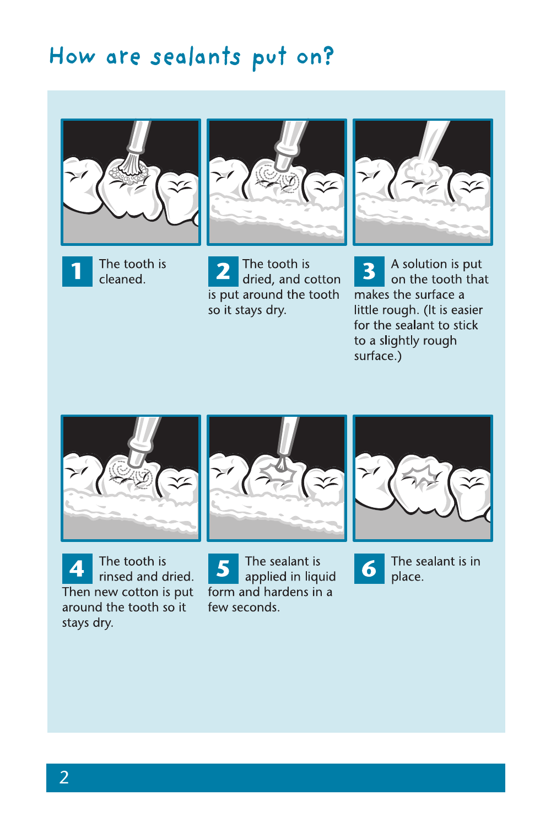#### **How are sealants put on?**





The tooth is cleaned.



The tooth is 2 dried, and cotton is put around the tooth so it stays dry.



A solution is put 3 on the tooth that makes the surface a little rough. (It is easier for the sealant to stick to a slightly rough surface.)



The tooth is  $\blacktriangle$ rinsed and dried. Then new cotton is put around the tooth so it stays dry.



The sealant is 5 applied in liquid form and hardens in a few seconds.



The sealant is in place.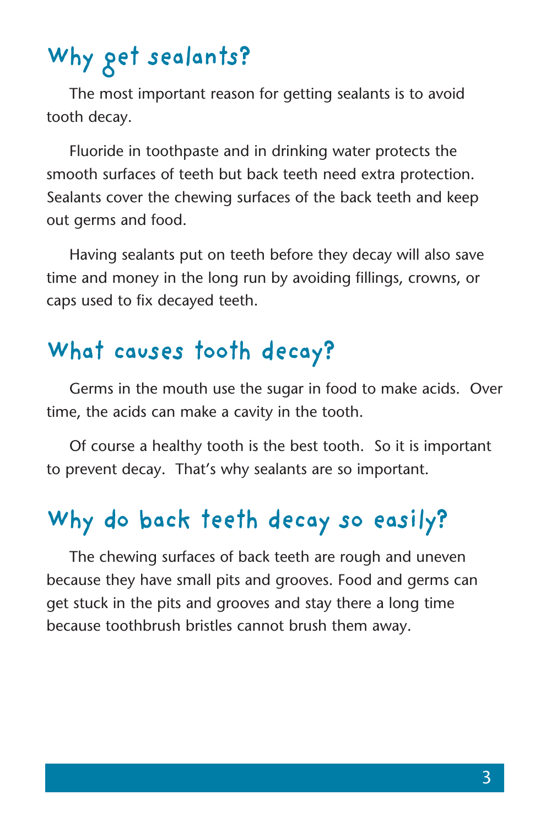# **Why get sealants?**

The most important reason for getting sealants is to avoid tooth decay.

Fluoride in toothpaste and in drinking water protects the smooth surfaces of teeth but back teeth need extra protection. Sealants cover the chewing surfaces of the back teeth and keep out germs and food.

Having sealants put on teeth before they decay will also save time and money in the long run by avoiding fillings, crowns, or caps used to fix decayed teeth.

#### **What causes tooth decay?**

Germs in the mouth use the sugar in food to make acids. Over time, the acids can make a cavity in the tooth.

Of course a healthy tooth is the best tooth. So it is important to prevent decay. That's why sealants are so important.

#### **Why do back teeth decay so easily?**

The chewing surfaces of back teeth are rough and uneven because they have small pits and grooves. Food and germs can get stuck in the pits and grooves and stay there a long time because toothbrush bristles cannot brush them away.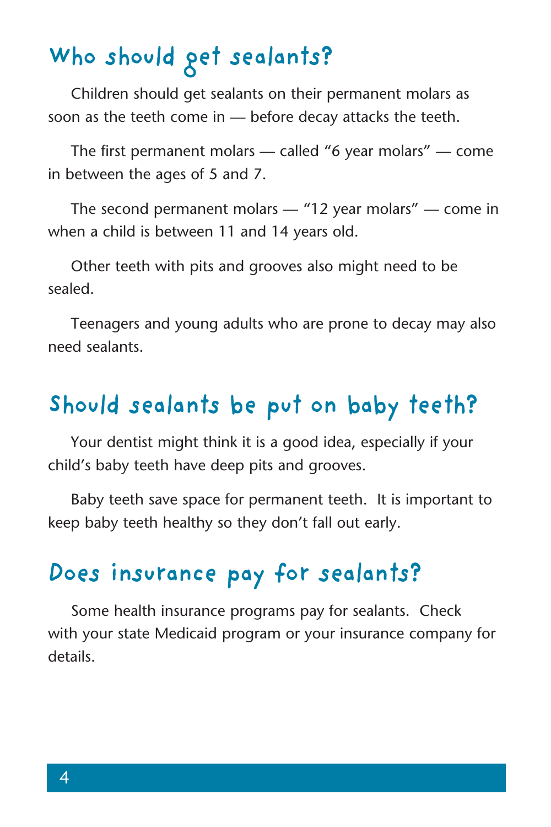## **Who should get sealants?**

Children should get sealants on their permanent molars as soon as the teeth come in — before decay attacks the teeth.

The first permanent molars — called "6 year molars" — come in between the ages of 5 and 7.

The second permanent molars — "12 year molars" — come in when a child is between 11 and 14 years old.

Other teeth with pits and grooves also might need to be sealed.

Teenagers and young adults who are prone to decay may also need sealants.

### **Should sealants be put on baby teeth?**

Your dentist might think it is a good idea, especially if your child's baby teeth have deep pits and grooves.

Baby teeth save space for permanent teeth. It is important to keep baby teeth healthy so they don't fall out early.

#### **Does insurance pay for sealants?**

Some health insurance programs pay for sealants. Check with your state Medicaid program or your insurance company for details.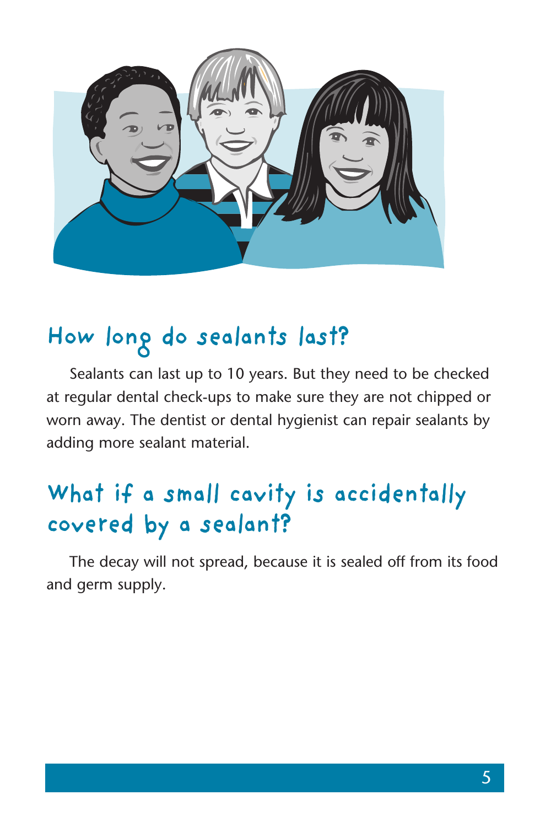

# **How long do sealants last?**

Sealants can last up to 10 years. But they need to be checked at regular dental check-ups to make sure they are not chipped or worn away. The dentist or dental hygienist can repair sealants by adding more sealant material.

### **What if a small cavity is accidentally covered by a sealant?**

The decay will not spread, because it is sealed off from its food and germ supply.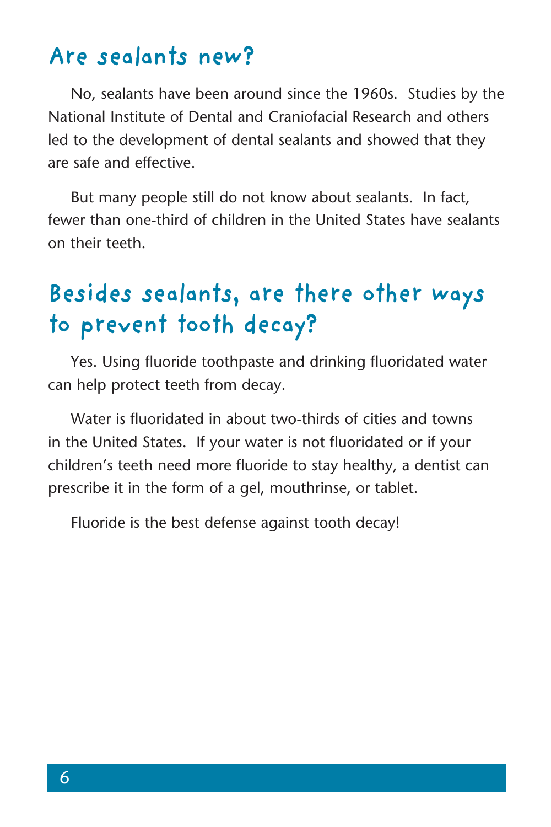#### **Are sealants new?**

No, sealants have been around since the 1960s. Studies by the National Institute of Dental and Craniofacial Research and others led to the development of dental sealants and showed that they are safe and effective.

But many people still do not know about sealants. In fact, fewer than one-third of children in the United States have sealants on their teeth.

#### **Besides sealants, are there other ways to prevent tooth decay?**

Yes. Using fluoride toothpaste and drinking fluoridated water can help protect teeth from decay.

Water is fluoridated in about two-thirds of cities and towns in the United States. If your water is not fluoridated or if your children's teeth need more fluoride to stay healthy, a dentist can prescribe it in the form of a gel, mouthrinse, or tablet.

Fluoride is the best defense against tooth decay!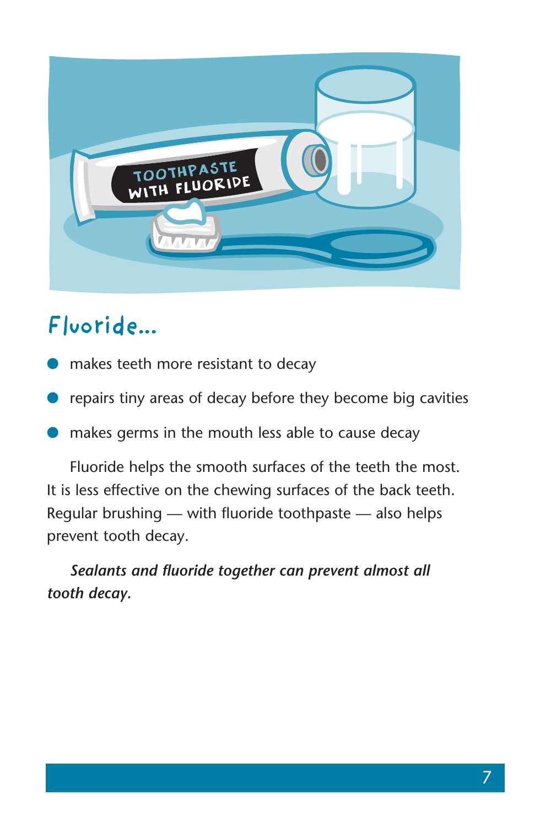

#### **Fluoride...**

- makes teeth more resistant to decay
- repairs tiny areas of decay before they become big cavities
- makes germs in the mouth less able to cause decay

Fluoride helps the smooth surfaces of the teeth the most. It is less effective on the chewing surfaces of the back teeth. Regular brushing — with fluoride toothpaste — also helps prevent tooth decay.

*Sealants and fluoride together can prevent almost all tooth decay.*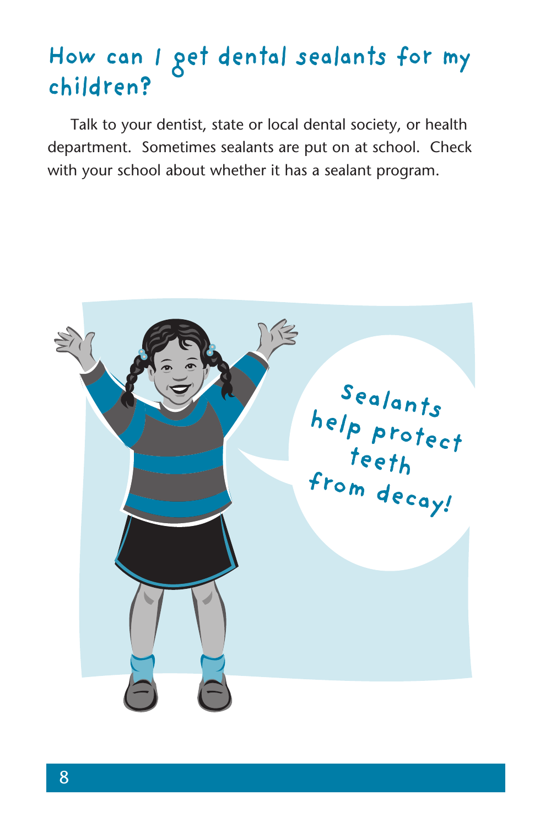#### **How can I get dental sealants for my children?**

Talk to your dentist, state or local dental society, or health department. Sometimes sealants are put on at school. Check with your school about whether it has a sealant program.

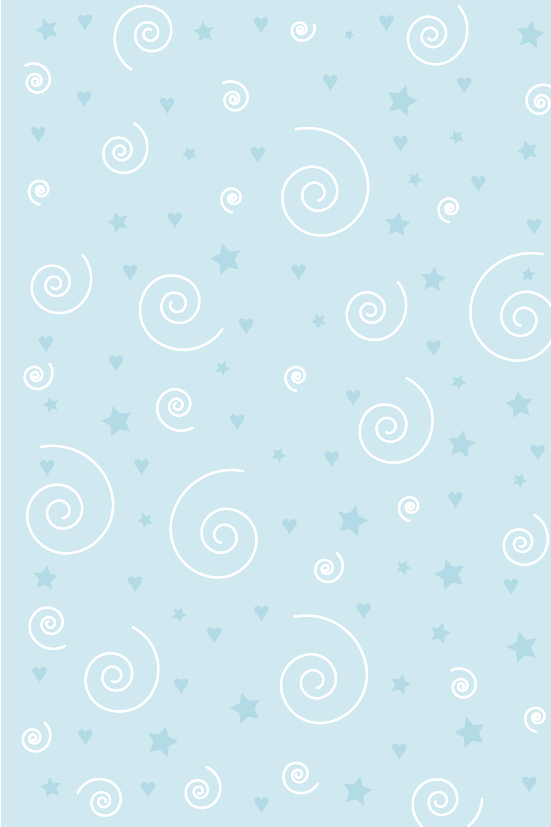